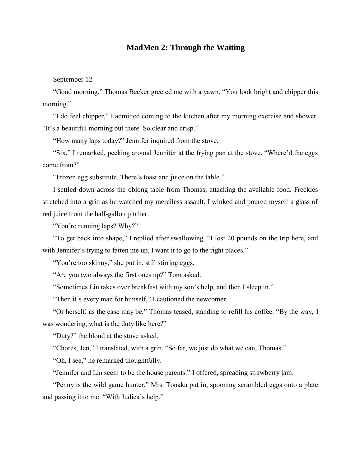# **MadMen 2: Through the Waiting**

September 12

"Good morning." Thomas Becker greeted me with a yawn. "You look bright and chipper this morning."

"I do feel chipper," I admitted coming to the kitchen after my morning exercise and shower. "It's a beautiful morning out there. So clear and crisp."

"How many laps today?" Jennifer inquired from the stove.

"Six," I remarked, peeking around Jennifer at the frying pan at the stove. "Where'd the eggs come from?"

"Frozen egg substitute. There's toast and juice on the table."

I settled down across the oblong table from Thomas, attacking the available food. Freckles stretched into a grin as he watched my merciless assault. I winked and poured myself a glass of red juice from the half-gallon pitcher.

"You're running laps? Why?"

"To get back into shape," I replied after swallowing. "I lost 20 pounds on the trip here, and with Jennifer's trying to fatten me up, I want it to go to the right places."

"You're too skinny," she put in, still stirring eggs.

"Are you two always the first ones up?" Tom asked.

"Sometimes Lin takes over breakfast with my son's help, and then I sleep in."

"Then it's every man for himself," I cautioned the newcomer.

"Or herself, as the case may be," Thomas teased, standing to refill his coffee. "By the way, I was wondering, what is the duty like here?"

"Duty?" the blond at the stove asked.

"Chores, Jen," I translated, with a grin. "So far, we just do what we can, Thomas."

"Oh, I see," he remarked thoughtfully.

"Jennifer and Lin seem to be the house parents." I offered, spreading strawberry jam.

"Penny is the wild game hunter," Mrs. Tonaka put in, spooning scrambled eggs onto a plate and passing it to me. "With Judica's help."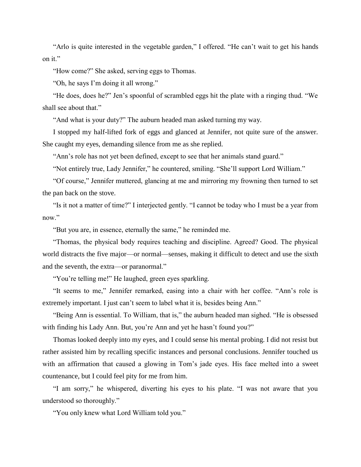"Arlo is quite interested in the vegetable garden," I offered. "He can't wait to get his hands on it."

"How come?" She asked, serving eggs to Thomas.

"Oh, he says I'm doing it all wrong."

"He does, does he?" Jen's spoonful of scrambled eggs hit the plate with a ringing thud. "We shall see about that."

"And what is your duty?" The auburn headed man asked turning my way.

I stopped my half-lifted fork of eggs and glanced at Jennifer, not quite sure of the answer. She caught my eyes, demanding silence from me as she replied.

"Ann's role has not yet been defined, except to see that her animals stand guard."

"Not entirely true, Lady Jennifer," he countered, smiling. "She'll support Lord William."

"Of course," Jennifer muttered, glancing at me and mirroring my frowning then turned to set the pan back on the stove.

"Is it not a matter of time?" I interjected gently. "I cannot be today who I must be a year from now."

"But you are, in essence, eternally the same," he reminded me.

"Thomas, the physical body requires teaching and discipline. Agreed? Good. The physical world distracts the five major—or normal—senses, making it difficult to detect and use the sixth and the seventh, the extra—or paranormal."

"You're telling me!" He laughed, green eyes sparkling.

"It seems to me," Jennifer remarked, easing into a chair with her coffee. "Ann's role is extremely important. I just can't seem to label what it is, besides being Ann."

"Being Ann is essential. To William, that is," the auburn headed man sighed. "He is obsessed with finding his Lady Ann. But, you're Ann and yet he hasn't found you?"

Thomas looked deeply into my eyes, and I could sense his mental probing. I did not resist but rather assisted him by recalling specific instances and personal conclusions. Jennifer touched us with an affirmation that caused a glowing in Tom's jade eyes. His face melted into a sweet countenance, but I could feel pity for me from him.

"I am sorry," he whispered, diverting his eyes to his plate. "I was not aware that you understood so thoroughly."

"You only knew what Lord William told you."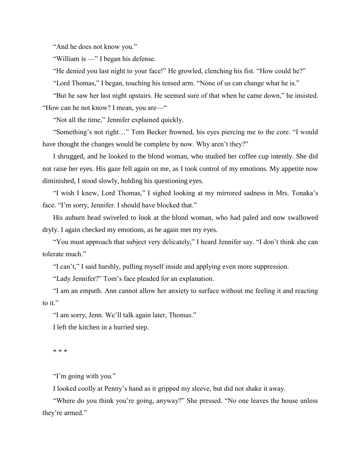"And he does not know you."

"William is —" I began his defense.

"He denied you last night to your face!" He growled, clenching his fist. "How could he?"

"Lord Thomas," I began, touching his tensed arm. "None of us can change what he is."

"But he saw her last night upstairs. He seemed sure of that when he came down," he insisted. "How can he not know? I mean, you are—"

"Not all the time," Jennifer explained quickly.

"Something's not right…" Tom Becker frowned, his eyes piercing me to the core. "I would have thought the changes would be complete by now. Why aren't they?"

I shrugged, and he looked to the blond woman, who studied her coffee cup intently. She did not raise her eyes. His gaze fell again on me, as I took control of my emotions. My appetite now diminished, I stood slowly, holding his questioning eyes.

"I wish I knew, Lord Thomas," I sighed looking at my mirrored sadness in Mrs. Tonaka's face. "I'm sorry, Jennifer. I should have blocked that."

His auburn head swiveled to look at the blond woman, who had paled and now swallowed dryly. I again checked my emotions, as he again met my eyes.

"You must approach that subject very delicately," I heard Jennifer say. "I don't think she can tolerate much."

"I can't," I said harshly, pulling myself inside and applying even more suppression.

"Lady Jennifer?" Tom's face pleaded for an explanation.

"I am an empath. Ann cannot allow her anxiety to surface without me feeling it and reacting to it."

"I am sorry, Jenn. We'll talk again later, Thomas."

I left the kitchen in a hurried step.

\* \* \*

"I'm going with you."

I looked coolly at Penny's hand as it gripped my sleeve, but did not shake it away.

"Where do you think you're going, anyway?" She pressed. "No one leaves the house unless they're armed."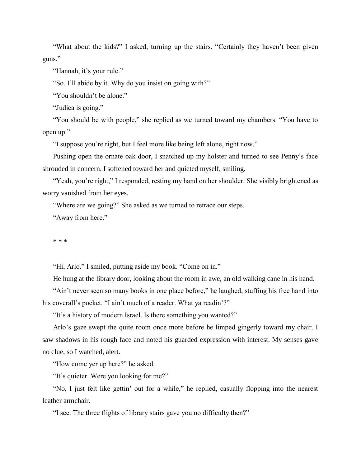"What about the kids?" I asked, turning up the stairs. "Certainly they haven't been given guns."

"Hannah, it's your rule."

"So, I'll abide by it. Why do you insist on going with?"

"You shouldn't be alone."

"Judica is going."

"You should be with people," she replied as we turned toward my chambers. "You have to open up."

"I suppose you're right, but I feel more like being left alone, right now."

Pushing open the ornate oak door, I snatched up my holster and turned to see Penny's face shrouded in concern. I softened toward her and quieted myself, smiling.

"Yeah, you're right," I responded, resting my hand on her shoulder. She visibly brightened as worry vanished from her eyes.

"Where are we going?" She asked as we turned to retrace our steps.

"Away from here."

\* \* \*

"Hi, Arlo." I smiled, putting aside my book. "Come on in."

He hung at the library door, looking about the room in awe, an old walking cane in his hand.

"Ain't never seen so many books in one place before," he laughed, stuffing his free hand into his coverall's pocket. "I ain't much of a reader. What ya readin'?"

"It's a history of modern Israel. Is there something you wanted?"

Arlo's gaze swept the quite room once more before he limped gingerly toward my chair. I saw shadows in his rough face and noted his guarded expression with interest. My senses gave no clue, so I watched, alert.

"How come yer up here?" he asked.

"It's quieter. Were you looking for me?"

"No, I just felt like gettin' out for a while," he replied, casually flopping into the nearest leather armchair.

"I see. The three flights of library stairs gave you no difficulty then?"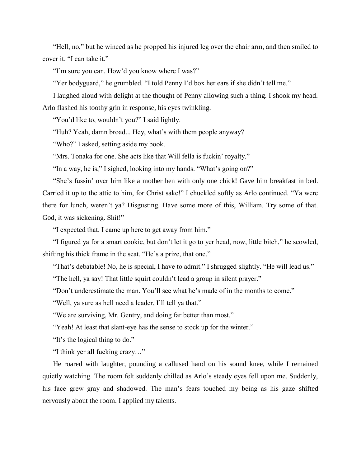"Hell, no," but he winced as he propped his injured leg over the chair arm, and then smiled to cover it. "I can take it."

"I'm sure you can. How'd you know where I was?"

"Yer bodyguard," he grumbled. "I told Penny I'd box her ears if she didn't tell me."

I laughed aloud with delight at the thought of Penny allowing such a thing. I shook my head. Arlo flashed his toothy grin in response, his eyes twinkling.

"You'd like to, wouldn't you?" I said lightly.

"Huh? Yeah, damn broad... Hey, what's with them people anyway?

"Who?" I asked, setting aside my book.

"Mrs. Tonaka for one. She acts like that Will fella is fuckin' royalty."

"In a way, he is," I sighed, looking into my hands. "What's going on?"

"She's fussin' over him like a mother hen with only one chick! Gave him breakfast in bed. Carried it up to the attic to him, for Christ sake!" I chuckled softly as Arlo continued. "Ya were there for lunch, weren't ya? Disgusting. Have some more of this, William. Try some of that. God, it was sickening. Shit!"

"I expected that. I came up here to get away from him."

"I figured ya for a smart cookie, but don't let it go to yer head, now, little bitch," he scowled, shifting his thick frame in the seat. "He's a prize, that one."

"That's debatable! No, he is special, I have to admit." I shrugged slightly. "He will lead us."

"The hell, ya say! That little squirt couldn't lead a group in silent prayer."

"Don't underestimate the man. You'll see what he's made of in the months to come."

"Well, ya sure as hell need a leader, I'll tell ya that."

"We are surviving, Mr. Gentry, and doing far better than most."

"Yeah! At least that slant-eye has the sense to stock up for the winter."

"It's the logical thing to do."

"I think yer all fucking crazy…"

He roared with laughter, pounding a callused hand on his sound knee, while I remained quietly watching. The room felt suddenly chilled as Arlo's steady eyes fell upon me. Suddenly, his face grew gray and shadowed. The man's fears touched my being as his gaze shifted nervously about the room. I applied my talents.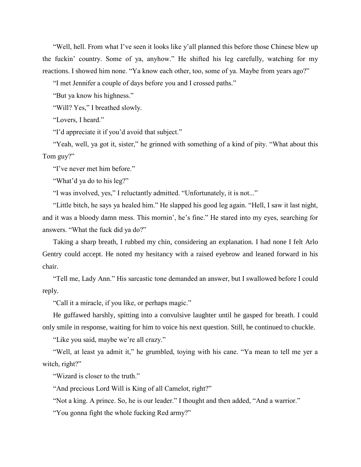"Well, hell. From what I've seen it looks like y'all planned this before those Chinese blew up the fuckin' country. Some of ya, anyhow." He shifted his leg carefully, watching for my reactions. I showed him none. "Ya know each other, too, some of ya. Maybe from years ago?"

"I met Jennifer a couple of days before you and I crossed paths."

"But ya know his highness."

"Will? Yes," I breathed slowly.

"Lovers, I heard."

"I'd appreciate it if you'd avoid that subject."

"Yeah, well, ya got it, sister," he grinned with something of a kind of pity. "What about this Tom guy?"

"I've never met him before."

"What'd ya do to his leg?"

"I was involved, yes," I reluctantly admitted. "Unfortunately, it is not..."

"Little bitch, he says ya healed him." He slapped his good leg again. "Hell, I saw it last night, and it was a bloody damn mess. This mornin', he's fine." He stared into my eyes, searching for answers. "What the fuck did ya do?"

Taking a sharp breath, I rubbed my chin, considering an explanation. I had none I felt Arlo Gentry could accept. He noted my hesitancy with a raised eyebrow and leaned forward in his chair.

"Tell me, Lady Ann." His sarcastic tone demanded an answer, but I swallowed before I could reply.

"Call it a miracle, if you like, or perhaps magic."

He guffawed harshly, spitting into a convulsive laughter until he gasped for breath. I could only smile in response, waiting for him to voice his next question. Still, he continued to chuckle.

"Like you said, maybe we're all crazy."

"Well, at least ya admit it," he grumbled, toying with his cane. "Ya mean to tell me yer a witch, right?"

"Wizard is closer to the truth."

"And precious Lord Will is King of all Camelot, right?"

"Not a king. A prince. So, he is our leader." I thought and then added, "And a warrior."

"You gonna fight the whole fucking Red army?"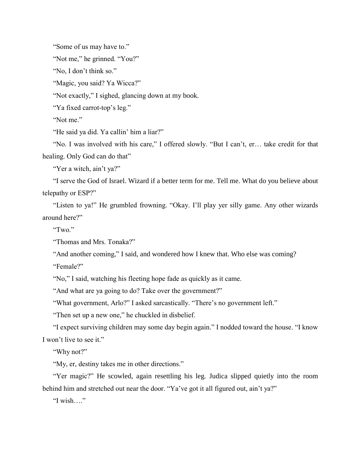"Some of us may have to."

"Not me," he grinned. "You?"

"No, I don't think so."

"Magic, you said? Ya Wicca?"

"Not exactly," I sighed, glancing down at my book.

"Ya fixed carrot-top's leg."

"Not me."

"He said ya did. Ya callin' him a liar?"

"No. I was involved with his care," I offered slowly. "But I can't, er… take credit for that healing. Only God can do that"

"Yer a witch, ain't ya?"

"I serve the God of Israel. Wizard if a better term for me. Tell me. What do you believe about telepathy or ESP?"

"Listen to ya!" He grumbled frowning. "Okay. I'll play yer silly game. Any other wizards around here?"

"Two."

"Thomas and Mrs. Tonaka?"

"And another coming," I said, and wondered how I knew that. Who else was coming?

"Female?"

"No," I said, watching his fleeting hope fade as quickly as it came.

"And what are ya going to do? Take over the government?"

"What government, Arlo?" I asked sarcastically. "There's no government left."

"Then set up a new one," he chuckled in disbelief.

"I expect surviving children may some day begin again." I nodded toward the house. "I know I won't live to see it."

"Why not?"

"My, er, destiny takes me in other directions."

"Yer magic?" He scowled, again resettling his leg. Judica slipped quietly into the room behind him and stretched out near the door. "Ya've got it all figured out, ain't ya?"

"I wish…."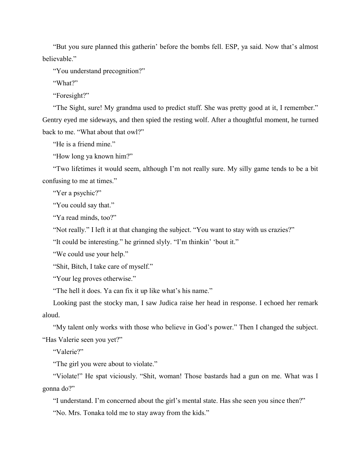"But you sure planned this gatherin' before the bombs fell. ESP, ya said. Now that's almost believable."

"You understand precognition?"

"What?"

"Foresight?"

"The Sight, sure! My grandma used to predict stuff. She was pretty good at it, I remember." Gentry eyed me sideways, and then spied the resting wolf. After a thoughtful moment, he turned back to me. "What about that owl?"

"He is a friend mine."

"How long ya known him?"

"Two lifetimes it would seem, although I'm not really sure. My silly game tends to be a bit confusing to me at times."

"Yer a psychic?"

"You could say that."

"Ya read minds, too?"

"Not really." I left it at that changing the subject. "You want to stay with us crazies?"

"It could be interesting." he grinned slyly. "I'm thinkin' 'bout it."

"We could use your help."

"Shit, Bitch, I take care of myself."

"Your leg proves otherwise."

"The hell it does. Ya can fix it up like what's his name."

Looking past the stocky man, I saw Judica raise her head in response. I echoed her remark aloud.

"My talent only works with those who believe in God's power." Then I changed the subject. "Has Valerie seen you yet?"

"Valerie?"

"The girl you were about to violate."

"Violate!" He spat viciously. "Shit, woman! Those bastards had a gun on me. What was I gonna do?"

"I understand. I'm concerned about the girl's mental state. Has she seen you since then?"

"No. Mrs. Tonaka told me to stay away from the kids."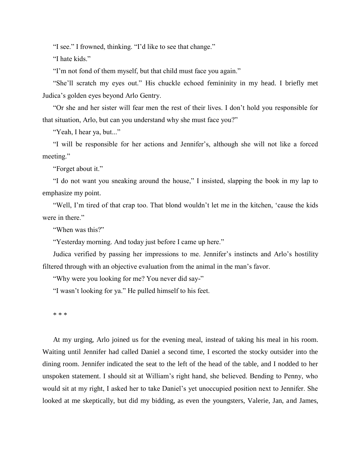"I see." I frowned, thinking. "I'd like to see that change."

"I hate kids."

"I'm not fond of them myself, but that child must face you again."

"She'll scratch my eyes out." His chuckle echoed femininity in my head. I briefly met Judica's golden eyes beyond Arlo Gentry.

"Or she and her sister will fear men the rest of their lives. I don't hold you responsible for that situation, Arlo, but can you understand why she must face you?"

"Yeah, I hear ya, but..."

"I will be responsible for her actions and Jennifer's, although she will not like a forced meeting."

"Forget about it."

"I do not want you sneaking around the house," I insisted, slapping the book in my lap to emphasize my point.

"Well, I'm tired of that crap too. That blond wouldn't let me in the kitchen, 'cause the kids were in there."

"When was this?"

"Yesterday morning. And today just before I came up here."

Judica verified by passing her impressions to me. Jennifer's instincts and Arlo's hostility filtered through with an objective evaluation from the animal in the man's favor.

"Why were you looking for me? You never did say-"

"I wasn't looking for ya." He pulled himself to his feet.

\* \* \*

At my urging, Arlo joined us for the evening meal, instead of taking his meal in his room. Waiting until Jennifer had called Daniel a second time, I escorted the stocky outsider into the dining room. Jennifer indicated the seat to the left of the head of the table, and I nodded to her unspoken statement. I should sit at William's right hand, she believed. Bending to Penny, who would sit at my right, I asked her to take Daniel's yet unoccupied position next to Jennifer. She looked at me skeptically, but did my bidding, as even the youngsters, Valerie, Jan, and James,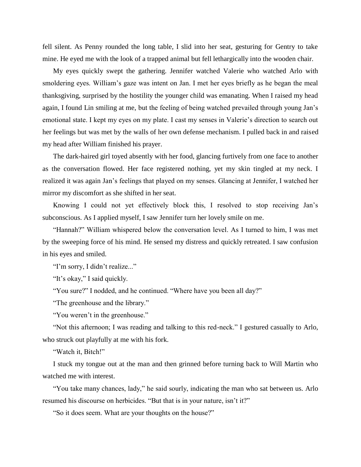fell silent. As Penny rounded the long table, I slid into her seat, gesturing for Gentry to take mine. He eyed me with the look of a trapped animal but fell lethargically into the wooden chair.

My eyes quickly swept the gathering. Jennifer watched Valerie who watched Arlo with smoldering eyes. William's gaze was intent on Jan. I met her eyes briefly as he began the meal thanksgiving, surprised by the hostility the younger child was emanating. When I raised my head again, I found Lin smiling at me, but the feeling of being watched prevailed through young Jan's emotional state. I kept my eyes on my plate. I cast my senses in Valerie's direction to search out her feelings but was met by the walls of her own defense mechanism. I pulled back in and raised my head after William finished his prayer.

The dark-haired girl toyed absently with her food, glancing furtively from one face to another as the conversation flowed. Her face registered nothing, yet my skin tingled at my neck. I realized it was again Jan's feelings that played on my senses. Glancing at Jennifer, I watched her mirror my discomfort as she shifted in her seat.

Knowing I could not yet effectively block this, I resolved to stop receiving Jan's subconscious. As I applied myself, I saw Jennifer turn her lovely smile on me.

"Hannah?" William whispered below the conversation level. As I turned to him, I was met by the sweeping force of his mind. He sensed my distress and quickly retreated. I saw confusion in his eyes and smiled.

"I'm sorry, I didn't realize..."

"It's okay," I said quickly.

"You sure?" I nodded, and he continued. "Where have you been all day?"

"The greenhouse and the library."

"You weren't in the greenhouse."

"Not this afternoon; I was reading and talking to this red-neck." I gestured casually to Arlo, who struck out playfully at me with his fork.

"Watch it, Bitch!"

I stuck my tongue out at the man and then grinned before turning back to Will Martin who watched me with interest.

"You take many chances, lady," he said sourly, indicating the man who sat between us. Arlo resumed his discourse on herbicides. "But that is in your nature, isn't it?"

"So it does seem. What are your thoughts on the house?"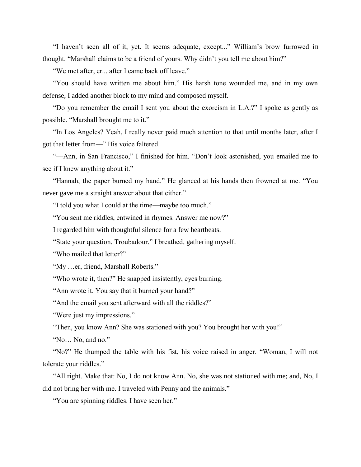"I haven't seen all of it, yet. It seems adequate, except..." William's brow furrowed in thought. "Marshall claims to be a friend of yours. Why didn't you tell me about him?"

"We met after, er... after I came back off leave."

"You should have written me about him." His harsh tone wounded me, and in my own defense, I added another block to my mind and composed myself.

"Do you remember the email I sent you about the exorcism in L.A.?" I spoke as gently as possible. "Marshall brought me to it."

"In Los Angeles? Yeah, I really never paid much attention to that until months later, after I got that letter from—" His voice faltered.

"—Ann, in San Francisco," I finished for him. "Don't look astonished, you emailed me to see if I knew anything about it."

"Hannah, the paper burned my hand." He glanced at his hands then frowned at me. "You never gave me a straight answer about that either."

"I told you what I could at the time—maybe too much."

"You sent me riddles, entwined in rhymes. Answer me now?"

I regarded him with thoughtful silence for a few heartbeats.

"State your question, Troubadour," I breathed, gathering myself.

"Who mailed that letter?"

"My …er, friend, Marshall Roberts."

"Who wrote it, then?" He snapped insistently, eyes burning.

"Ann wrote it. You say that it burned your hand?"

"And the email you sent afterward with all the riddles?"

"Were just my impressions."

"Then, you know Ann? She was stationed with you? You brought her with you!"

"No… No, and no."

"No?" He thumped the table with his fist, his voice raised in anger. "Woman, I will not tolerate your riddles."

"All right. Make that: No, I do not know Ann. No, she was not stationed with me; and, No, I did not bring her with me. I traveled with Penny and the animals."

"You are spinning riddles. I have seen her."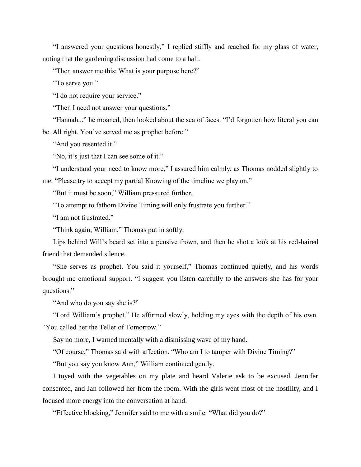"I answered your questions honestly," I replied stiffly and reached for my glass of water, noting that the gardening discussion had come to a halt.

"Then answer me this: What is your purpose here?"

"To serve you."

"I do not require your service."

"Then I need not answer your questions."

"Hannah..." he moaned, then looked about the sea of faces. "I'd forgotten how literal you can be. All right. You've served me as prophet before."

"And you resented it."

"No, it's just that I can see some of it."

"I understand your need to know more," I assured him calmly, as Thomas nodded slightly to

me. "Please try to accept my partial Knowing of the timeline we play on."

"But it must be soon," William pressured further.

"To attempt to fathom Divine Timing will only frustrate you further."

"I am not frustrated."

"Think again, William," Thomas put in softly.

Lips behind Will's beard set into a pensive frown, and then he shot a look at his red-haired friend that demanded silence.

"She serves as prophet. You said it yourself," Thomas continued quietly, and his words brought me emotional support. "I suggest you listen carefully to the answers she has for your questions."

"And who do you say she is?"

"Lord William's prophet." He affirmed slowly, holding my eyes with the depth of his own. "You called her the Teller of Tomorrow."

Say no more, I warned mentally with a dismissing wave of my hand.

"Of course," Thomas said with affection. "Who am I to tamper with Divine Timing?"

"But you say you know Ann," William continued gently.

I toyed with the vegetables on my plate and heard Valerie ask to be excused. Jennifer consented, and Jan followed her from the room. With the girls went most of the hostility, and I focused more energy into the conversation at hand.

"Effective blocking," Jennifer said to me with a smile. "What did you do?"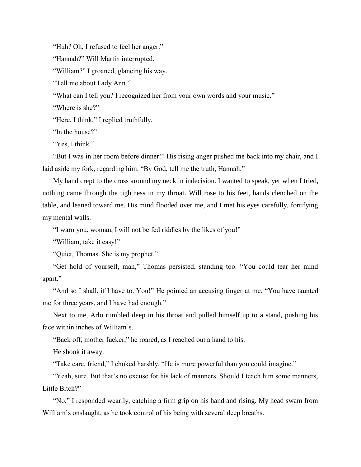"Huh? Oh, I refused to feel her anger."

"Hannah?" Will Martin interrupted.

"William?" I groaned, glancing his way.

"Tell me about Lady Ann."

"What can I tell you? I recognized her from your own words and your music."

"Where is she?"

"Here, I think," I replied truthfully.

"In the house?"

"Yes, I think."

"But I was in her room before dinner!" His rising anger pushed me back into my chair, and I laid aside my fork, regarding him. "By God, tell me the truth, Hannah."

My hand crept to the cross around my neck in indecision. I wanted to speak, yet when I tried, nothing came through the tightness in my throat. Will rose to his feet, hands clenched on the table, and leaned toward me. His mind flooded over me, and I met his eyes carefully, fortifying my mental walls.

"I warn you, woman, I will not be fed riddles by the likes of you!"

"William, take it easy!"

"Quiet, Thomas. She is my prophet."

"Get hold of yourself, man," Thomas persisted, standing too. "You could tear her mind apart."

"And so I shall, if I have to. You!" He pointed an accusing finger at me. "You have taunted me for three years, and I have had enough."

Next to me, Arlo rumbled deep in his throat and pulled himself up to a stand, pushing his face within inches of William's.

"Back off, mother fucker," he roared, as I reached out a hand to his.

He shook it away.

"Take care, friend," I choked harshly. "He is more powerful than you could imagine."

"Yeah, sure. But that's no excuse for his lack of manners. Should I teach him some manners, Little Bitch?"

"No," I responded wearily, catching a firm grip on his hand and rising. My head swam from William's onslaught, as he took control of his being with several deep breaths.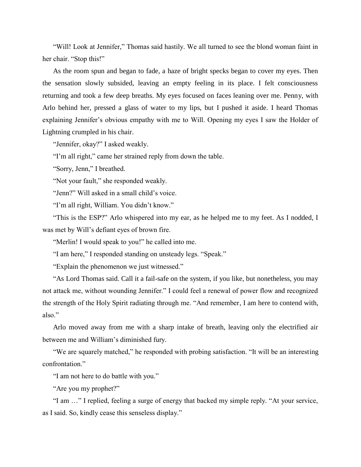"Will! Look at Jennifer," Thomas said hastily. We all turned to see the blond woman faint in her chair. "Stop this!"

As the room spun and began to fade, a haze of bright specks began to cover my eyes. Then the sensation slowly subsided, leaving an empty feeling in its place. I felt consciousness returning and took a few deep breaths. My eyes focused on faces leaning over me. Penny, with Arlo behind her, pressed a glass of water to my lips, but I pushed it aside. I heard Thomas explaining Jennifer's obvious empathy with me to Will. Opening my eyes I saw the Holder of Lightning crumpled in his chair.

"Jennifer, okay?" I asked weakly.

"I'm all right," came her strained reply from down the table.

"Sorry, Jenn," I breathed.

"Not your fault," she responded weakly.

"Jenn?" Will asked in a small child's voice.

"I'm all right, William. You didn't know."

"This is the ESP?" Arlo whispered into my ear, as he helped me to my feet. As I nodded, I was met by Will's defiant eyes of brown fire.

"Merlin! I would speak to you!" he called into me.

"I am here," I responded standing on unsteady legs. "Speak."

"Explain the phenomenon we just witnessed."

"As Lord Thomas said. Call it a fail-safe on the system, if you like, but nonetheless, you may not attack me, without wounding Jennifer." I could feel a renewal of power flow and recognized the strength of the Holy Spirit radiating through me. "And remember, I am here to contend with, also."

Arlo moved away from me with a sharp intake of breath, leaving only the electrified air between me and William's diminished fury.

"We are squarely matched," he responded with probing satisfaction. "It will be an interesting confrontation."

"I am not here to do battle with you."

"Are you my prophet?"

"I am …" I replied, feeling a surge of energy that backed my simple reply. "At your service, as I said. So, kindly cease this senseless display."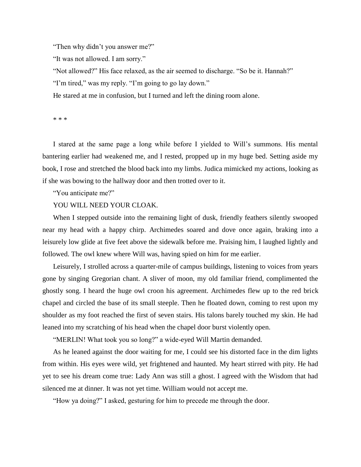"Then why didn't you answer me?"

"It was not allowed. I am sorry."

"Not allowed?" His face relaxed, as the air seemed to discharge. "So be it. Hannah?" "I'm tired," was my reply. "I'm going to go lay down."

He stared at me in confusion, but I turned and left the dining room alone.

\* \* \*

I stared at the same page a long while before I yielded to Will's summons. His mental bantering earlier had weakened me, and I rested, propped up in my huge bed. Setting aside my book, I rose and stretched the blood back into my limbs. Judica mimicked my actions, looking as if she was bowing to the hallway door and then trotted over to it.

"You anticipate me?"

# YOU WILL NEED YOUR CLOAK.

When I stepped outside into the remaining light of dusk, friendly feathers silently swooped near my head with a happy chirp. Archimedes soared and dove once again, braking into a leisurely low glide at five feet above the sidewalk before me. Praising him, I laughed lightly and followed. The owl knew where Will was, having spied on him for me earlier.

Leisurely, I strolled across a quarter-mile of campus buildings, listening to voices from years gone by singing Gregorian chant. A sliver of moon, my old familiar friend, complimented the ghostly song. I heard the huge owl croon his agreement. Archimedes flew up to the red brick chapel and circled the base of its small steeple. Then he floated down, coming to rest upon my shoulder as my foot reached the first of seven stairs. His talons barely touched my skin. He had leaned into my scratching of his head when the chapel door burst violently open.

"MERLIN! What took you so long?" a wide-eyed Will Martin demanded.

As he leaned against the door waiting for me, I could see his distorted face in the dim lights from within. His eyes were wild, yet frightened and haunted. My heart stirred with pity. He had yet to see his dream come true: Lady Ann was still a ghost. I agreed with the Wisdom that had silenced me at dinner. It was not yet time. William would not accept me.

"How ya doing?" I asked, gesturing for him to precede me through the door.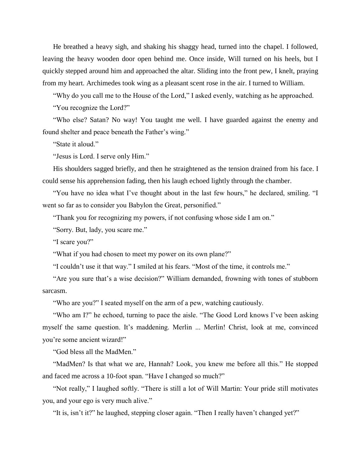He breathed a heavy sigh, and shaking his shaggy head, turned into the chapel. I followed, leaving the heavy wooden door open behind me. Once inside, Will turned on his heels, but I quickly stepped around him and approached the altar. Sliding into the front pew, I knelt, praying from my heart. Archimedes took wing as a pleasant scent rose in the air. I turned to William.

"Why do you call me to the House of the Lord," I asked evenly, watching as he approached.

"You recognize the Lord?"

"Who else? Satan? No way! You taught me well. I have guarded against the enemy and found shelter and peace beneath the Father's wing."

"State it aloud."

"Jesus is Lord. I serve only Him."

His shoulders sagged briefly, and then he straightened as the tension drained from his face. I could sense his apprehension fading, then his laugh echoed lightly through the chamber.

"You have no idea what I've thought about in the last few hours," he declared, smiling. "I went so far as to consider you Babylon the Great, personified."

"Thank you for recognizing my powers, if not confusing whose side I am on."

"Sorry. But, lady, you scare me."

"I scare you?"

"What if you had chosen to meet my power on its own plane?"

"I couldn't use it that way." I smiled at his fears. "Most of the time, it controls me."

"Are you sure that's a wise decision?" William demanded, frowning with tones of stubborn sarcasm.

"Who are you?" I seated myself on the arm of a pew, watching cautiously.

"Who am I?" he echoed, turning to pace the aisle. "The Good Lord knows I've been asking myself the same question. It's maddening. Merlin ... Merlin! Christ, look at me, convinced you're some ancient wizard!"

"God bless all the MadMen."

"MadMen? Is that what we are, Hannah? Look, you knew me before all this." He stopped and faced me across a 10-foot span. "Have I changed so much?"

"Not really," I laughed softly. "There is still a lot of Will Martin: Your pride still motivates you, and your ego is very much alive."

"It is, isn't it?" he laughed, stepping closer again. "Then I really haven't changed yet?"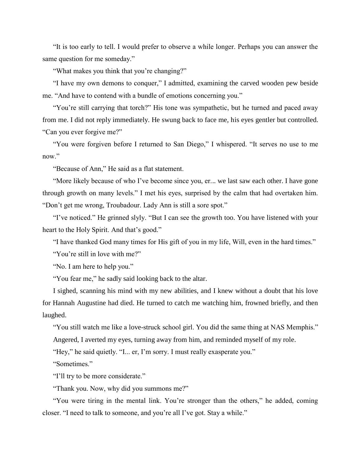"It is too early to tell. I would prefer to observe a while longer. Perhaps you can answer the same question for me someday."

"What makes you think that you're changing?"

"I have my own demons to conquer," I admitted, examining the carved wooden pew beside me. "And have to contend with a bundle of emotions concerning you."

"You're still carrying that torch?" His tone was sympathetic, but he turned and paced away from me. I did not reply immediately. He swung back to face me, his eyes gentler but controlled. "Can you ever forgive me?"

"You were forgiven before I returned to San Diego," I whispered. "It serves no use to me now."

"Because of Ann," He said as a flat statement.

"More likely because of who I've become since you, er... we last saw each other. I have gone through growth on many levels." I met his eyes, surprised by the calm that had overtaken him. "Don't get me wrong, Troubadour. Lady Ann is still a sore spot."

"I've noticed." He grinned slyly. "But I can see the growth too. You have listened with your heart to the Holy Spirit. And that's good."

"I have thanked God many times for His gift of you in my life, Will, even in the hard times."

"You're still in love with me?"

"No. I am here to help you."

"You fear me," he sadly said looking back to the altar.

I sighed, scanning his mind with my new abilities, and I knew without a doubt that his love for Hannah Augustine had died. He turned to catch me watching him, frowned briefly, and then laughed.

"You still watch me like a love-struck school girl. You did the same thing at NAS Memphis." Angered, I averted my eyes, turning away from him, and reminded myself of my role.

"Hey," he said quietly. "I... er, I'm sorry. I must really exasperate you."

"Sometimes."

"I'll try to be more considerate."

"Thank you. Now, why did you summons me?"

"You were tiring in the mental link. You're stronger than the others," he added, coming closer. "I need to talk to someone, and you're all I've got. Stay a while."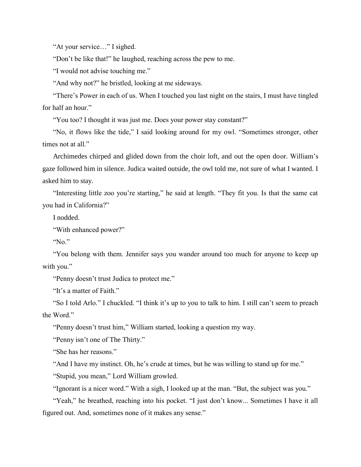"At your service…" I sighed.

"Don't be like that!" he laughed, reaching across the pew to me.

"I would not advise touching me."

"And why not?" he bristled, looking at me sideways.

"There's Power in each of us. When I touched you last night on the stairs, I must have tingled for half an hour."

"You too? I thought it was just me. Does your power stay constant?"

"No, it flows like the tide," I said looking around for my owl. "Sometimes stronger, other times not at all."

Archimedes chirped and glided down from the choir loft, and out the open door. William's gaze followed him in silence. Judica waited outside, the owl told me, not sure of what I wanted. I asked him to stay.

"Interesting little zoo you're starting," he said at length. "They fit you. Is that the same cat you had in California?"

I nodded.

"With enhanced power?"

"No."

"You belong with them. Jennifer says you wander around too much for anyone to keep up with you."

"Penny doesn't trust Judica to protect me."

"It's a matter of Faith."

"So I told Arlo." I chuckled. "I think it's up to you to talk to him. I still can't seem to preach the Word."

"Penny doesn't trust him," William started, looking a question my way.

"Penny isn't one of The Thirty."

"She has her reasons."

"And I have my instinct. Oh, he's crude at times, but he was willing to stand up for me."

"Stupid, you mean," Lord William growled.

"Ignorant is a nicer word." With a sigh, I looked up at the man. "But, the subject was you."

"Yeah," he breathed, reaching into his pocket. "I just don't know... Sometimes I have it all figured out. And, sometimes none of it makes any sense."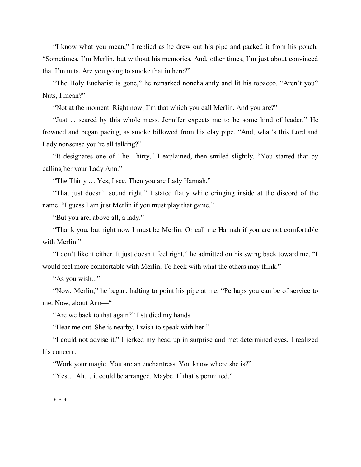"I know what you mean," I replied as he drew out his pipe and packed it from his pouch. "Sometimes, I'm Merlin, but without his memories. And, other times, I'm just about convinced that I'm nuts. Are you going to smoke that in here?"

"The Holy Eucharist is gone," he remarked nonchalantly and lit his tobacco. "Aren't you? Nuts, I mean?"

"Not at the moment. Right now, I'm that which you call Merlin. And you are?"

"Just ... scared by this whole mess. Jennifer expects me to be some kind of leader." He frowned and began pacing, as smoke billowed from his clay pipe. "And, what's this Lord and Lady nonsense you're all talking?"

"It designates one of The Thirty," I explained, then smiled slightly. "You started that by calling her your Lady Ann."

"The Thirty … Yes, I see. Then you are Lady Hannah."

"That just doesn't sound right," I stated flatly while cringing inside at the discord of the name. "I guess I am just Merlin if you must play that game."

"But you are, above all, a lady."

"Thank you, but right now I must be Merlin. Or call me Hannah if you are not comfortable with Merlin."

"I don't like it either. It just doesn't feel right," he admitted on his swing back toward me. "I would feel more comfortable with Merlin. To heck with what the others may think."

"As you wish..."

"Now, Merlin," he began, halting to point his pipe at me. "Perhaps you can be of service to me. Now, about Ann—"

"Are we back to that again?" I studied my hands.

"Hear me out. She is nearby. I wish to speak with her."

"I could not advise it." I jerked my head up in surprise and met determined eyes. I realized his concern.

"Work your magic. You are an enchantress. You know where she is?"

"Yes… Ah… it could be arranged. Maybe. If that's permitted."

\* \* \*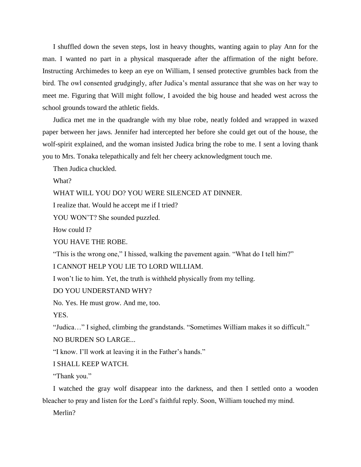I shuffled down the seven steps, lost in heavy thoughts, wanting again to play Ann for the man. I wanted no part in a physical masquerade after the affirmation of the night before. Instructing Archimedes to keep an eye on William, I sensed protective grumbles back from the bird. The owl consented grudgingly, after Judica's mental assurance that she was on her way to meet me. Figuring that Will might follow, I avoided the big house and headed west across the school grounds toward the athletic fields.

Judica met me in the quadrangle with my blue robe, neatly folded and wrapped in waxed paper between her jaws. Jennifer had intercepted her before she could get out of the house, the wolf-spirit explained, and the woman insisted Judica bring the robe to me. I sent a loving thank you to Mrs. Tonaka telepathically and felt her cheery acknowledgment touch me.

Then Judica chuckled.

What?

WHAT WILL YOU DO? YOU WERE SILENCED AT DINNER.

I realize that. Would he accept me if I tried?

YOU WON'T? She sounded puzzled.

How could I?

YOU HAVE THE ROBE.

"This is the wrong one," I hissed, walking the pavement again. "What do I tell him?"

I CANNOT HELP YOU LIE TO LORD WILLIAM.

I won't lie to him. Yet, the truth is withheld physically from my telling.

DO YOU UNDERSTAND WHY?

No. Yes. He must grow. And me, too.

YES.

"Judica…" I sighed, climbing the grandstands. "Sometimes William makes it so difficult." NO BURDEN SO LARGE...

"I know. I'll work at leaving it in the Father's hands."

I SHALL KEEP WATCH.

"Thank you."

I watched the gray wolf disappear into the darkness, and then I settled onto a wooden bleacher to pray and listen for the Lord's faithful reply. Soon, William touched my mind.

Merlin?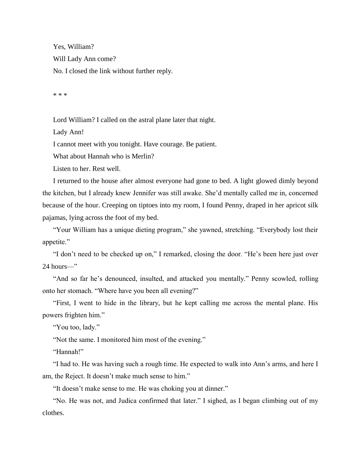Yes, William? Will Lady Ann come? No. I closed the link without further reply.

\* \* \*

Lord William? I called on the astral plane later that night.

Lady Ann!

I cannot meet with you tonight. Have courage. Be patient.

What about Hannah who is Merlin?

Listen to her. Rest well.

I returned to the house after almost everyone had gone to bed. A light glowed dimly beyond the kitchen, but I already knew Jennifer was still awake. She'd mentally called me in, concerned because of the hour. Creeping on tiptoes into my room, I found Penny, draped in her apricot silk pajamas, lying across the foot of my bed.

"Your William has a unique dieting program," she yawned, stretching. "Everybody lost their appetite."

"I don't need to be checked up on," I remarked, closing the door. "He's been here just over 24 hours—"

"And so far he's denounced, insulted, and attacked you mentally." Penny scowled, rolling onto her stomach. "Where have you been all evening?"

"First, I went to hide in the library, but he kept calling me across the mental plane. His powers frighten him."

"You too, lady."

"Not the same. I monitored him most of the evening."

"Hannah!"

"I had to. He was having such a rough time. He expected to walk into Ann's arms, and here I am, the Reject. It doesn't make much sense to him."

"It doesn't make sense to me. He was choking you at dinner."

"No. He was not, and Judica confirmed that later." I sighed, as I began climbing out of my clothes.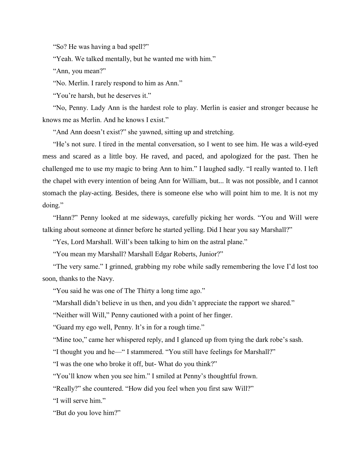"So? He was having a bad spell?"

"Yeah. We talked mentally, but he wanted me with him."

"Ann, you mean?"

"No. Merlin. I rarely respond to him as Ann."

"You're harsh, but he deserves it."

"No, Penny. Lady Ann is the hardest role to play. Merlin is easier and stronger because he knows me as Merlin. And he knows I exist."

"And Ann doesn't exist?" she yawned, sitting up and stretching.

"He's not sure. I tired in the mental conversation, so I went to see him. He was a wild-eyed mess and scared as a little boy. He raved, and paced, and apologized for the past. Then he challenged me to use my magic to bring Ann to him." I laughed sadly. "I really wanted to. I left the chapel with every intention of being Ann for William, but... It was not possible, and I cannot stomach the play-acting. Besides, there is someone else who will point him to me. It is not my doing."

"Hann?" Penny looked at me sideways, carefully picking her words. "You and Will were talking about someone at dinner before he started yelling. Did I hear you say Marshall?"

"Yes, Lord Marshall. Will's been talking to him on the astral plane."

"You mean my Marshall? Marshall Edgar Roberts, Junior?"

"The very same." I grinned, grabbing my robe while sadly remembering the love I'd lost too soon, thanks to the Navy.

"You said he was one of The Thirty a long time ago."

"Marshall didn't believe in us then, and you didn't appreciate the rapport we shared."

"Neither will Will," Penny cautioned with a point of her finger.

"Guard my ego well, Penny. It's in for a rough time."

"Mine too," came her whispered reply, and I glanced up from tying the dark robe's sash.

"I thought you and he—" I stammered. "You still have feelings for Marshall?"

"I was the one who broke it off, but- What do you think?"

"You'll know when you see him." I smiled at Penny's thoughtful frown.

"Really?" she countered. "How did you feel when you first saw Will?"

"I will serve him."

"But do you love him?"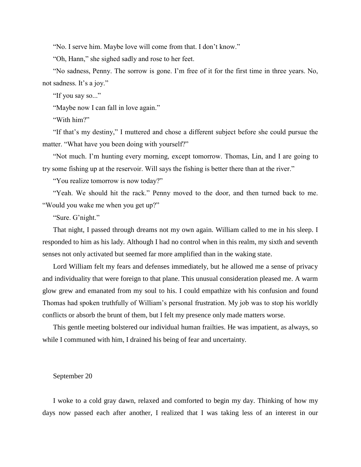"No. I serve him. Maybe love will come from that. I don't know."

"Oh, Hann," she sighed sadly and rose to her feet.

"No sadness, Penny. The sorrow is gone. I'm free of it for the first time in three years. No, not sadness. It's a joy."

"If you say so..."

"Maybe now I can fall in love again."

"With him?"

"If that's my destiny," I muttered and chose a different subject before she could pursue the matter. "What have you been doing with yourself?"

"Not much. I'm hunting every morning, except tomorrow. Thomas, Lin, and I are going to try some fishing up at the reservoir. Will says the fishing is better there than at the river."

"You realize tomorrow is now today?"

"Yeah. We should hit the rack." Penny moved to the door, and then turned back to me. "Would you wake me when you get up?"

"Sure. G'night."

That night, I passed through dreams not my own again. William called to me in his sleep. I responded to him as his lady. Although I had no control when in this realm, my sixth and seventh senses not only activated but seemed far more amplified than in the waking state.

Lord William felt my fears and defenses immediately, but he allowed me a sense of privacy and individuality that were foreign to that plane. This unusual consideration pleased me. A warm glow grew and emanated from my soul to his. I could empathize with his confusion and found Thomas had spoken truthfully of William's personal frustration. My job was to stop his worldly conflicts or absorb the brunt of them, but I felt my presence only made matters worse.

This gentle meeting bolstered our individual human frailties. He was impatient, as always, so while I communed with him, I drained his being of fear and uncertainty.

## September 20

I woke to a cold gray dawn, relaxed and comforted to begin my day. Thinking of how my days now passed each after another, I realized that I was taking less of an interest in our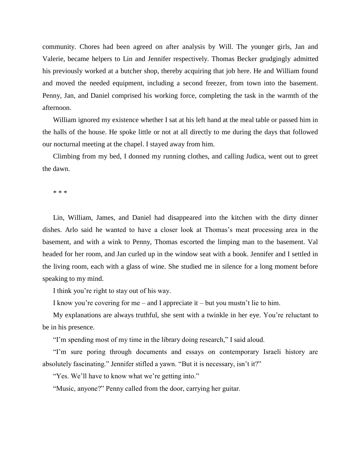community. Chores had been agreed on after analysis by Will. The younger girls, Jan and Valerie, became helpers to Lin and Jennifer respectively. Thomas Becker grudgingly admitted his previously worked at a butcher shop, thereby acquiring that job here. He and William found and moved the needed equipment, including a second freezer, from town into the basement. Penny, Jan, and Daniel comprised his working force, completing the task in the warmth of the afternoon.

William ignored my existence whether I sat at his left hand at the meal table or passed him in the halls of the house. He spoke little or not at all directly to me during the days that followed our nocturnal meeting at the chapel. I stayed away from him.

Climbing from my bed, I donned my running clothes, and calling Judica, went out to greet the dawn.

\* \* \*

Lin, William, James, and Daniel had disappeared into the kitchen with the dirty dinner dishes. Arlo said he wanted to have a closer look at Thomas's meat processing area in the basement, and with a wink to Penny, Thomas escorted the limping man to the basement. Val headed for her room, and Jan curled up in the window seat with a book. Jennifer and I settled in the living room, each with a glass of wine. She studied me in silence for a long moment before speaking to my mind.

I think you're right to stay out of his way.

I know you're covering for me – and I appreciate it – but you mustn't lie to him.

My explanations are always truthful, she sent with a twinkle in her eye. You're reluctant to be in his presence.

"I'm spending most of my time in the library doing research," I said aloud.

"I'm sure poring through documents and essays on contemporary Israeli history are absolutely fascinating." Jennifer stifled a yawn. "But it is necessary, isn't it?"

"Yes. We'll have to know what we're getting into."

"Music, anyone?" Penny called from the door, carrying her guitar.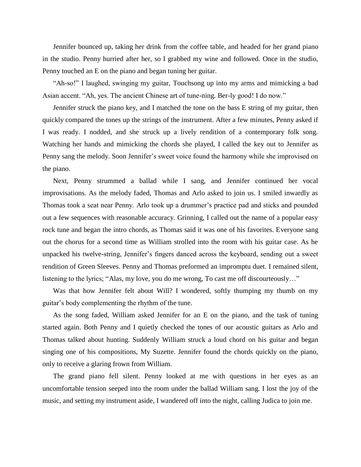Jennifer bounced up, taking her drink from the coffee table, and headed for her grand piano in the studio. Penny hurried after her, so I grabbed my wine and followed. Once in the studio, Penny touched an E on the piano and began tuning her guitar.

"Ah-so!" I laughed, swinging my guitar, Touchsong up into my arms and mimicking a bad Asian accent. "Ah, yes. The ancient Chinese art of tune-ning. Ber-ly good! I do now."

Jennifer struck the piano key, and I matched the tone on the bass E string of my guitar, then quickly compared the tones up the strings of the instrument. After a few minutes, Penny asked if I was ready. I nodded, and she struck up a lively rendition of a contemporary folk song. Watching her hands and mimicking the chords she played, I called the key out to Jennifer as Penny sang the melody. Soon Jennifer's sweet voice found the harmony while she improvised on the piano.

Next, Penny strummed a ballad while I sang, and Jennifer continued her vocal improvisations. As the melody faded, Thomas and Arlo asked to join us. I smiled inwardly as Thomas took a seat near Penny. Arlo took up a drummer's practice pad and sticks and pounded out a few sequences with reasonable accuracy. Grinning, I called out the name of a popular easy rock tune and began the intro chords, as Thomas said it was one of his favorites. Everyone sang out the chorus for a second time as William strolled into the room with his guitar case. As he unpacked his twelve-string, Jennifer's fingers danced across the keyboard, sending out a sweet rendition of Green Sleeves. Penny and Thomas preformed an impromptu duet. I remained silent, listening to the lyrics; "Alas, my love, you do me wrong, To cast me off discourteously…"

Was that how Jennifer felt about Will? I wondered, softly thumping my thumb on my guitar's body complementing the rhythm of the tune.

As the song faded, William asked Jennifer for an E on the piano, and the task of tuning started again. Both Penny and I quietly checked the tones of our acoustic guitars as Arlo and Thomas talked about hunting. Suddenly William struck a loud chord on his guitar and began singing one of his compositions, My Suzette. Jennifer found the chords quickly on the piano, only to receive a glaring frown from William.

The grand piano fell silent. Penny looked at me with questions in her eyes as an uncomfortable tension seeped into the room under the ballad William sang. I lost the joy of the music, and setting my instrument aside, I wandered off into the night, calling Judica to join me.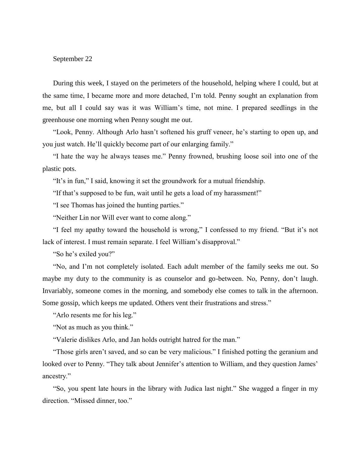## September 22

During this week, I stayed on the perimeters of the household, helping where I could, but at the same time, I became more and more detached, I'm told. Penny sought an explanation from me, but all I could say was it was William's time, not mine. I prepared seedlings in the greenhouse one morning when Penny sought me out.

"Look, Penny. Although Arlo hasn't softened his gruff veneer, he's starting to open up, and you just watch. He'll quickly become part of our enlarging family."

"I hate the way he always teases me." Penny frowned, brushing loose soil into one of the plastic pots.

"It's in fun," I said, knowing it set the groundwork for a mutual friendship.

"If that's supposed to be fun, wait until he gets a load of my harassment!"

"I see Thomas has joined the hunting parties."

"Neither Lin nor Will ever want to come along."

"I feel my apathy toward the household is wrong," I confessed to my friend. "But it's not lack of interest. I must remain separate. I feel William's disapproval."

"So he's exiled you?"

"No, and I'm not completely isolated. Each adult member of the family seeks me out. So maybe my duty to the community is as counselor and go-between. No, Penny, don't laugh. Invariably, someone comes in the morning, and somebody else comes to talk in the afternoon. Some gossip, which keeps me updated. Others vent their frustrations and stress."

"Arlo resents me for his leg."

"Not as much as you think."

"Valerie dislikes Arlo, and Jan holds outright hatred for the man."

"Those girls aren't saved, and so can be very malicious." I finished potting the geranium and looked over to Penny. "They talk about Jennifer's attention to William, and they question James' ancestry."

"So, you spent late hours in the library with Judica last night." She wagged a finger in my direction. "Missed dinner, too."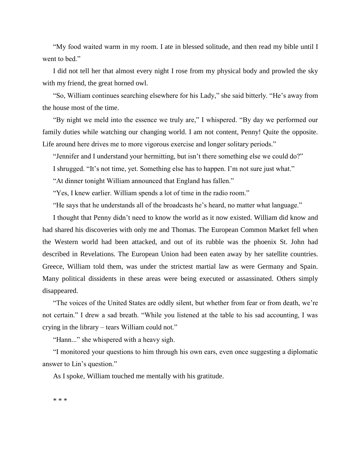"My food waited warm in my room. I ate in blessed solitude, and then read my bible until I went to bed."

I did not tell her that almost every night I rose from my physical body and prowled the sky with my friend, the great horned owl.

"So, William continues searching elsewhere for his Lady," she said bitterly. "He's away from the house most of the time.

"By night we meld into the essence we truly are," I whispered. "By day we performed our family duties while watching our changing world. I am not content, Penny! Quite the opposite. Life around here drives me to more vigorous exercise and longer solitary periods."

"Jennifer and I understand your hermitting, but isn't there something else we could do?"

I shrugged. "It's not time, yet. Something else has to happen. I'm not sure just what."

"At dinner tonight William announced that England has fallen."

"Yes, I knew earlier. William spends a lot of time in the radio room."

"He says that he understands all of the broadcasts he's heard, no matter what language."

I thought that Penny didn't need to know the world as it now existed. William did know and had shared his discoveries with only me and Thomas. The European Common Market fell when the Western world had been attacked, and out of its rubble was the phoenix St. John had described in Revelations. The European Union had been eaten away by her satellite countries. Greece, William told them, was under the strictest martial law as were Germany and Spain. Many political dissidents in these areas were being executed or assassinated. Others simply disappeared.

"The voices of the United States are oddly silent, but whether from fear or from death, we're not certain." I drew a sad breath. "While you listened at the table to his sad accounting, I was crying in the library – tears William could not."

"Hann..." she whispered with a heavy sigh.

"I monitored your questions to him through his own ears, even once suggesting a diplomatic answer to Lin's question."

As I spoke, William touched me mentally with his gratitude.

\* \* \*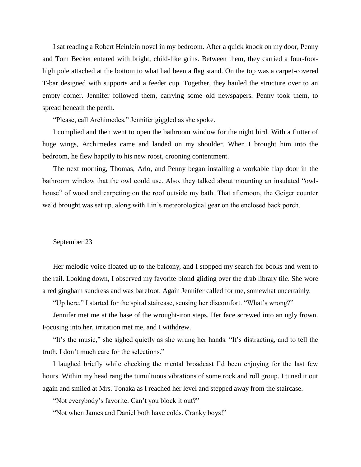I sat reading a Robert Heinlein novel in my bedroom. After a quick knock on my door, Penny and Tom Becker entered with bright, child-like grins. Between them, they carried a four-foothigh pole attached at the bottom to what had been a flag stand. On the top was a carpet-covered T-bar designed with supports and a feeder cup. Together, they hauled the structure over to an empty corner. Jennifer followed them, carrying some old newspapers. Penny took them, to spread beneath the perch.

"Please, call Archimedes." Jennifer giggled as she spoke.

I complied and then went to open the bathroom window for the night bird. With a flutter of huge wings, Archimedes came and landed on my shoulder. When I brought him into the bedroom, he flew happily to his new roost, crooning contentment.

The next morning, Thomas, Arlo, and Penny began installing a workable flap door in the bathroom window that the owl could use. Also, they talked about mounting an insulated "owlhouse" of wood and carpeting on the roof outside my bath. That afternoon, the Geiger counter we'd brought was set up, along with Lin's meteorological gear on the enclosed back porch.

### September 23

Her melodic voice floated up to the balcony, and I stopped my search for books and went to the rail. Looking down, I observed my favorite blond gliding over the drab library tile. She wore a red gingham sundress and was barefoot. Again Jennifer called for me, somewhat uncertainly.

"Up here." I started for the spiral staircase, sensing her discomfort. "What's wrong?"

Jennifer met me at the base of the wrought-iron steps. Her face screwed into an ugly frown. Focusing into her, irritation met me, and I withdrew.

"It's the music," she sighed quietly as she wrung her hands. "It's distracting, and to tell the truth, I don't much care for the selections."

I laughed briefly while checking the mental broadcast I'd been enjoying for the last few hours. Within my head rang the tumultuous vibrations of some rock and roll group. I tuned it out again and smiled at Mrs. Tonaka as I reached her level and stepped away from the staircase.

"Not everybody's favorite. Can't you block it out?"

"Not when James and Daniel both have colds. Cranky boys!"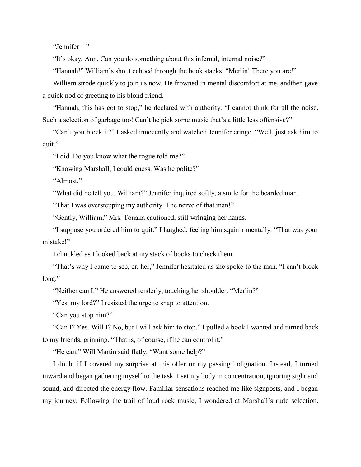"Jennifer—"

"It's okay, Ann. Can you do something about this infernal, internal noise?"

"Hannah!" William's shout echoed through the book stacks. "Merlin! There you are!"

William strode quickly to join us now. He frowned in mental discomfort at me, andthen gave a quick nod of greeting to his blond friend.

"Hannah, this has got to stop," he declared with authority. "I cannot think for all the noise. Such a selection of garbage too! Can't he pick some music that's a little less offensive?"

"Can't you block it?" I asked innocently and watched Jennifer cringe. "Well, just ask him to quit."

"I did. Do you know what the rogue told me?"

"Knowing Marshall, I could guess. Was he polite?"

"Almost."

"What did he tell you, William?" Jennifer inquired softly, a smile for the bearded man.

"That I was overstepping my authority. The nerve of that man!"

"Gently, William," Mrs. Tonaka cautioned, still wringing her hands.

"I suppose you ordered him to quit." I laughed, feeling him squirm mentally. "That was your mistake!"

I chuckled as I looked back at my stack of books to check them.

"That's why I came to see, er, her," Jennifer hesitated as she spoke to the man. "I can't block long."

"Neither can I." He answered tenderly, touching her shoulder. "Merlin?"

"Yes, my lord?" I resisted the urge to snap to attention.

"Can you stop him?"

"Can I? Yes. Will I? No, but I will ask him to stop." I pulled a book I wanted and turned back to my friends, grinning. "That is, of course, if he can control it."

"He can," Will Martin said flatly. "Want some help?"

I doubt if I covered my surprise at this offer or my passing indignation. Instead, I turned inward and began gathering myself to the task. I set my body in concentration, ignoring sight and sound, and directed the energy flow. Familiar sensations reached me like signposts, and I began my journey. Following the trail of loud rock music, I wondered at Marshall's rude selection.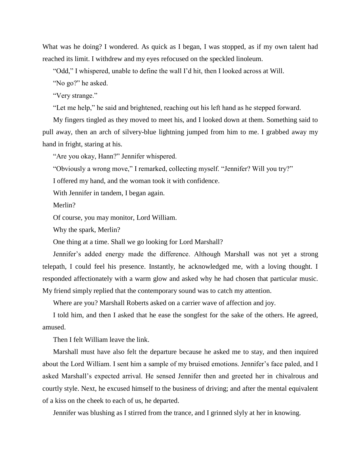What was he doing? I wondered. As quick as I began, I was stopped, as if my own talent had reached its limit. I withdrew and my eyes refocused on the speckled linoleum.

"Odd," I whispered, unable to define the wall I'd hit, then I looked across at Will.

"No go?" he asked.

"Very strange."

"Let me help," he said and brightened, reaching out his left hand as he stepped forward.

My fingers tingled as they moved to meet his, and I looked down at them. Something said to pull away, then an arch of silvery-blue lightning jumped from him to me. I grabbed away my hand in fright, staring at his.

"Are you okay, Hann?" Jennifer whispered.

"Obviously a wrong move," I remarked, collecting myself. "Jennifer? Will you try?"

I offered my hand, and the woman took it with confidence.

With Jennifer in tandem, I began again.

Merlin?

Of course, you may monitor, Lord William.

Why the spark, Merlin?

One thing at a time. Shall we go looking for Lord Marshall?

Jennifer's added energy made the difference. Although Marshall was not yet a strong telepath, I could feel his presence. Instantly, he acknowledged me, with a loving thought. I responded affectionately with a warm glow and asked why he had chosen that particular music. My friend simply replied that the contemporary sound was to catch my attention.

Where are you? Marshall Roberts asked on a carrier wave of affection and joy.

I told him, and then I asked that he ease the songfest for the sake of the others. He agreed, amused.

Then I felt William leave the link.

Marshall must have also felt the departure because he asked me to stay, and then inquired about the Lord William. I sent him a sample of my bruised emotions. Jennifer's face paled, and I asked Marshall's expected arrival. He sensed Jennifer then and greeted her in chivalrous and courtly style. Next, he excused himself to the business of driving; and after the mental equivalent of a kiss on the cheek to each of us, he departed.

Jennifer was blushing as I stirred from the trance, and I grinned slyly at her in knowing.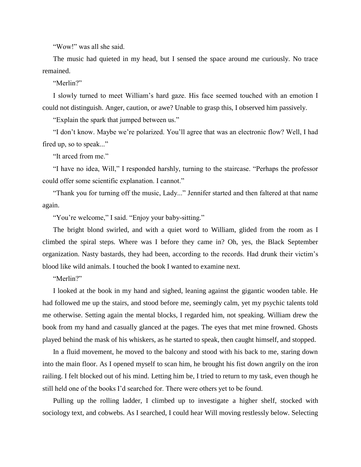"Wow!" was all she said.

The music had quieted in my head, but I sensed the space around me curiously. No trace remained.

"Merlin?"

I slowly turned to meet William's hard gaze. His face seemed touched with an emotion I could not distinguish. Anger, caution, or awe? Unable to grasp this, I observed him passively.

"Explain the spark that jumped between us."

"I don't know. Maybe we're polarized. You'll agree that was an electronic flow? Well, I had fired up, so to speak..."

"It arced from me."

"I have no idea, Will," I responded harshly, turning to the staircase. "Perhaps the professor could offer some scientific explanation. I cannot."

"Thank you for turning off the music, Lady..." Jennifer started and then faltered at that name again.

"You're welcome," I said. "Enjoy your baby-sitting."

The bright blond swirled, and with a quiet word to William, glided from the room as I climbed the spiral steps. Where was I before they came in? Oh, yes, the Black September organization. Nasty bastards, they had been, according to the records. Had drunk their victim's blood like wild animals. I touched the book I wanted to examine next.

"Merlin?"

I looked at the book in my hand and sighed, leaning against the gigantic wooden table. He had followed me up the stairs, and stood before me, seemingly calm, yet my psychic talents told me otherwise. Setting again the mental blocks, I regarded him, not speaking. William drew the book from my hand and casually glanced at the pages. The eyes that met mine frowned. Ghosts played behind the mask of his whiskers, as he started to speak, then caught himself, and stopped.

In a fluid movement, he moved to the balcony and stood with his back to me, staring down into the main floor. As I opened myself to scan him, he brought his fist down angrily on the iron railing. I felt blocked out of his mind. Letting him be, I tried to return to my task, even though he still held one of the books I'd searched for. There were others yet to be found.

Pulling up the rolling ladder, I climbed up to investigate a higher shelf, stocked with sociology text, and cobwebs. As I searched, I could hear Will moving restlessly below. Selecting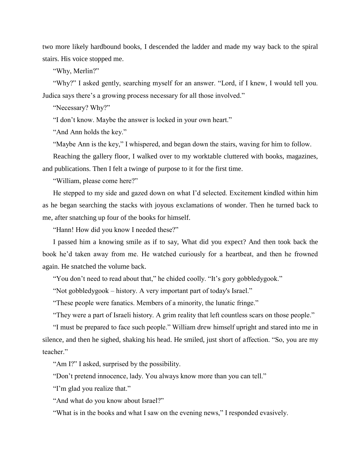two more likely hardbound books, I descended the ladder and made my way back to the spiral stairs. His voice stopped me.

"Why, Merlin?"

"Why?" I asked gently, searching myself for an answer. "Lord, if I knew, I would tell you. Judica says there's a growing process necessary for all those involved."

"Necessary? Why?"

"I don't know. Maybe the answer is locked in your own heart."

"And Ann holds the key."

"Maybe Ann is the key," I whispered, and began down the stairs, waving for him to follow.

Reaching the gallery floor, I walked over to my worktable cluttered with books, magazines, and publications. Then I felt a twinge of purpose to it for the first time.

"William, please come here?"

He stepped to my side and gazed down on what I'd selected. Excitement kindled within him as he began searching the stacks with joyous exclamations of wonder. Then he turned back to me, after snatching up four of the books for himself.

"Hann! How did you know I needed these?"

I passed him a knowing smile as if to say, What did you expect? And then took back the book he'd taken away from me. He watched curiously for a heartbeat, and then he frowned again. He snatched the volume back.

"You don't need to read about that," he chided coolly. "It's gory gobbledygook."

"Not gobbledygook – history. A very important part of today's Israel."

"These people were fanatics. Members of a minority, the lunatic fringe."

"They were a part of Israeli history. A grim reality that left countless scars on those people."

"I must be prepared to face such people." William drew himself upright and stared into me in silence, and then he sighed, shaking his head. He smiled, just short of affection. "So, you are my teacher."

"Am I?" I asked, surprised by the possibility.

"Don't pretend innocence, lady. You always know more than you can tell."

"I'm glad you realize that."

"And what do you know about Israel?"

"What is in the books and what I saw on the evening news," I responded evasively.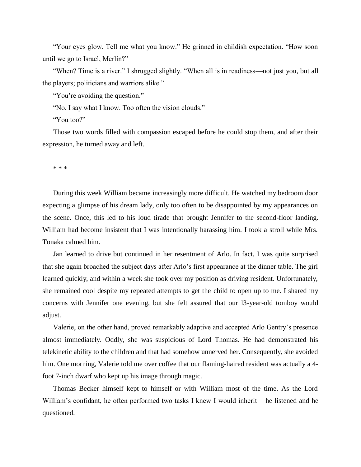"Your eyes glow. Tell me what you know." He grinned in childish expectation. "How soon until we go to Israel, Merlin?"

"When? Time is a river." I shrugged slightly. "When all is in readiness—not just you, but all the players; politicians and warriors alike."

"You're avoiding the question."

"No. I say what I know. Too often the vision clouds."

"You too?"

Those two words filled with compassion escaped before he could stop them, and after their expression, he turned away and left.

\* \* \*

During this week William became increasingly more difficult. He watched my bedroom door expecting a glimpse of his dream lady, only too often to be disappointed by my appearances on the scene. Once, this led to his loud tirade that brought Jennifer to the second-floor landing. William had become insistent that I was intentionally harassing him. I took a stroll while Mrs. Tonaka calmed him.

Jan learned to drive but continued in her resentment of Arlo. In fact, I was quite surprised that she again broached the subject days after Arlo's first appearance at the dinner table. The girl learned quickly, and within a week she took over my position as driving resident. Unfortunately, she remained cool despite my repeated attempts to get the child to open up to me. I shared my concerns with Jennifer one evening, but she felt assured that our l3-year-old tomboy would adjust.

Valerie, on the other hand, proved remarkably adaptive and accepted Arlo Gentry's presence almost immediately. Oddly, she was suspicious of Lord Thomas. He had demonstrated his telekinetic ability to the children and that had somehow unnerved her. Consequently, she avoided him. One morning, Valerie told me over coffee that our flaming-haired resident was actually a 4 foot 7-inch dwarf who kept up his image through magic.

Thomas Becker himself kept to himself or with William most of the time. As the Lord William's confidant, he often performed two tasks I knew I would inherit – he listened and he questioned.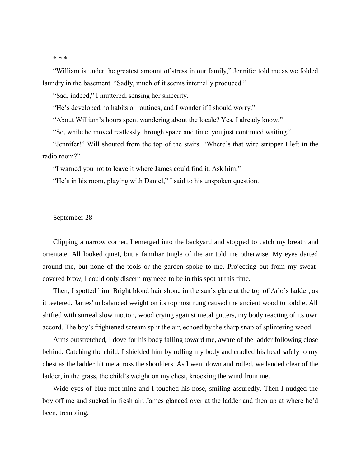### \* \* \*

"William is under the greatest amount of stress in our family," Jennifer told me as we folded laundry in the basement. "Sadly, much of it seems internally produced."

"Sad, indeed," I muttered, sensing her sincerity.

"He's developed no habits or routines, and I wonder if I should worry."

"About William's hours spent wandering about the locale? Yes, I already know."

"So, while he moved restlessly through space and time, you just continued waiting."

"Jennifer!" Will shouted from the top of the stairs. "Where's that wire stripper I left in the radio room?"

"I warned you not to leave it where James could find it. Ask him."

"He's in his room, playing with Daniel," I said to his unspoken question.

## September 28

Clipping a narrow corner, I emerged into the backyard and stopped to catch my breath and orientate. All looked quiet, but a familiar tingle of the air told me otherwise. My eyes darted around me, but none of the tools or the garden spoke to me. Projecting out from my sweatcovered brow, I could only discern my need to be in this spot at this time.

Then, I spotted him. Bright blond hair shone in the sun's glare at the top of Arlo's ladder, as it teetered. James' unbalanced weight on its topmost rung caused the ancient wood to toddle. All shifted with surreal slow motion, wood crying against metal gutters, my body reacting of its own accord. The boy's frightened scream split the air, echoed by the sharp snap of splintering wood.

Arms outstretched, I dove for his body falling toward me, aware of the ladder following close behind. Catching the child, I shielded him by rolling my body and cradled his head safely to my chest as the ladder hit me across the shoulders. As I went down and rolled, we landed clear of the ladder, in the grass, the child's weight on my chest, knocking the wind from me.

Wide eyes of blue met mine and I touched his nose, smiling assuredly. Then I nudged the boy off me and sucked in fresh air. James glanced over at the ladder and then up at where he'd been, trembling.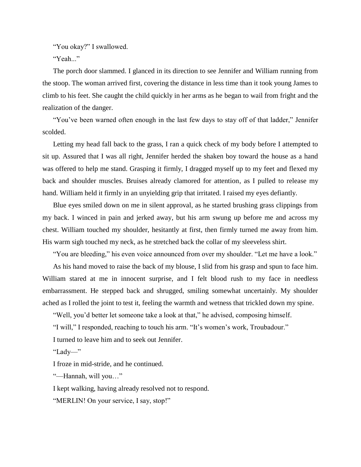"You okay?" I swallowed.

"Yeah..."

The porch door slammed. I glanced in its direction to see Jennifer and William running from the stoop. The woman arrived first, covering the distance in less time than it took young James to climb to his feet. She caught the child quickly in her arms as he began to wail from fright and the realization of the danger.

"You've been warned often enough in the last few days to stay off of that ladder," Jennifer scolded.

Letting my head fall back to the grass, I ran a quick check of my body before I attempted to sit up. Assured that I was all right, Jennifer herded the shaken boy toward the house as a hand was offered to help me stand. Grasping it firmly, I dragged myself up to my feet and flexed my back and shoulder muscles. Bruises already clamored for attention, as I pulled to release my hand. William held it firmly in an unyielding grip that irritated. I raised my eyes defiantly.

Blue eyes smiled down on me in silent approval, as he started brushing grass clippings from my back. I winced in pain and jerked away, but his arm swung up before me and across my chest. William touched my shoulder, hesitantly at first, then firmly turned me away from him. His warm sigh touched my neck, as he stretched back the collar of my sleeveless shirt.

"You are bleeding," his even voice announced from over my shoulder. "Let me have a look."

As his hand moved to raise the back of my blouse, I slid from his grasp and spun to face him. William stared at me in innocent surprise, and I felt blood rush to my face in needless embarrassment. He stepped back and shrugged, smiling somewhat uncertainly. My shoulder ached as I rolled the joint to test it, feeling the warmth and wetness that trickled down my spine.

"Well, you'd better let someone take a look at that," he advised, composing himself.

"I will," I responded, reaching to touch his arm. "It's women's work, Troubadour." I turned to leave him and to seek out Jennifer.

"Lady—"

I froze in mid-stride, and he continued.

"—Hannah, will you…"

I kept walking, having already resolved not to respond.

"MERLIN! On your service, I say, stop!"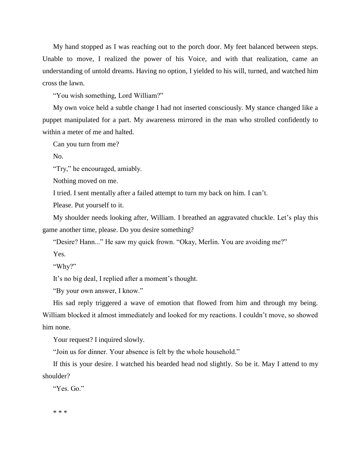My hand stopped as I was reaching out to the porch door. My feet balanced between steps. Unable to move, I realized the power of his Voice, and with that realization, came an understanding of untold dreams. Having no option, I yielded to his will, turned, and watched him cross the lawn.

"You wish something, Lord William?"

My own voice held a subtle change I had not inserted consciously. My stance changed like a puppet manipulated for a part. My awareness mirrored in the man who strolled confidently to within a meter of me and halted.

Can you turn from me?

No.

"Try," he encouraged, amiably.

Nothing moved on me.

I tried. I sent mentally after a failed attempt to turn my back on him. I can't.

Please. Put yourself to it.

My shoulder needs looking after, William. I breathed an aggravated chuckle. Let's play this game another time, please. Do you desire something?

"Desire? Hann..." He saw my quick frown. "Okay, Merlin. You are avoiding me?"

Yes.

"Why?"

It's no big deal, I replied after a moment's thought.

"By your own answer, I know."

His sad reply triggered a wave of emotion that flowed from him and through my being. William blocked it almost immediately and looked for my reactions. I couldn't move, so showed him none.

Your request? I inquired slowly.

"Join us for dinner. Your absence is felt by the whole household."

If this is your desire. I watched his bearded head nod slightly. So be it. May I attend to my shoulder?

"Yes. Go."

\* \* \*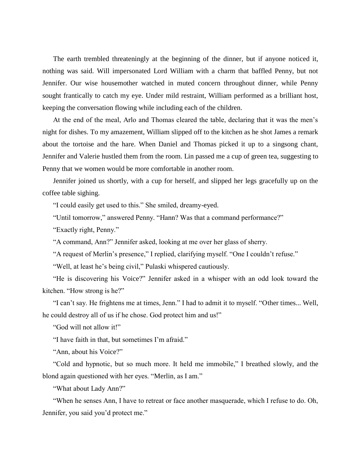The earth trembled threateningly at the beginning of the dinner, but if anyone noticed it, nothing was said. Will impersonated Lord William with a charm that baffled Penny, but not Jennifer. Our wise housemother watched in muted concern throughout dinner, while Penny sought frantically to catch my eye. Under mild restraint, William performed as a brilliant host, keeping the conversation flowing while including each of the children.

At the end of the meal, Arlo and Thomas cleared the table, declaring that it was the men's night for dishes. To my amazement, William slipped off to the kitchen as he shot James a remark about the tortoise and the hare. When Daniel and Thomas picked it up to a singsong chant, Jennifer and Valerie hustled them from the room. Lin passed me a cup of green tea, suggesting to Penny that we women would be more comfortable in another room.

Jennifer joined us shortly, with a cup for herself, and slipped her legs gracefully up on the coffee table sighing.

"I could easily get used to this." She smiled, dreamy-eyed.

"Until tomorrow," answered Penny. "Hann? Was that a command performance?"

"Exactly right, Penny."

"A command, Ann?" Jennifer asked, looking at me over her glass of sherry.

"A request of Merlin's presence," I replied, clarifying myself. "One I couldn't refuse."

"Well, at least he's being civil," Pulaski whispered cautiously.

"He is discovering his Voice?" Jennifer asked in a whisper with an odd look toward the kitchen. "How strong is he?"

"I can't say. He frightens me at times, Jenn." I had to admit it to myself. "Other times... Well, he could destroy all of us if he chose. God protect him and us!"

"God will not allow it!"

"I have faith in that, but sometimes I'm afraid."

"Ann, about his Voice?"

"Cold and hypnotic, but so much more. It held me immobile," I breathed slowly, and the blond again questioned with her eyes. "Merlin, as I am."

"What about Lady Ann?"

"When he senses Ann, I have to retreat or face another masquerade, which I refuse to do. Oh, Jennifer, you said you'd protect me."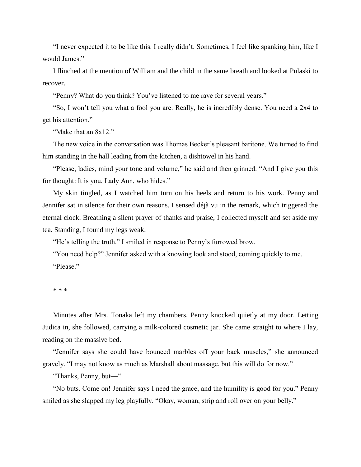"I never expected it to be like this. I really didn't. Sometimes, I feel like spanking him, like I would James."

I flinched at the mention of William and the child in the same breath and looked at Pulaski to recover.

"Penny? What do you think? You've listened to me rave for several years."

"So, I won't tell you what a fool you are. Really, he is incredibly dense. You need a 2x4 to get his attention."

"Make that an 8x12."

The new voice in the conversation was Thomas Becker's pleasant baritone. We turned to find him standing in the hall leading from the kitchen, a dishtowel in his hand.

"Please, ladies, mind your tone and volume," he said and then grinned. "And I give you this for thought: It is you, Lady Ann, who hides."

My skin tingled, as I watched him turn on his heels and return to his work. Penny and Jennifer sat in silence for their own reasons. I sensed déjà vu in the remark, which triggered the eternal clock. Breathing a silent prayer of thanks and praise, I collected myself and set aside my tea. Standing, I found my legs weak.

"He's telling the truth." I smiled in response to Penny's furrowed brow.

"You need help?" Jennifer asked with a knowing look and stood, coming quickly to me. "Please."

\* \* \*

Minutes after Mrs. Tonaka left my chambers, Penny knocked quietly at my door. Letting Judica in, she followed, carrying a milk-colored cosmetic jar. She came straight to where I lay, reading on the massive bed.

"Jennifer says she could have bounced marbles off your back muscles," she announced gravely. "I may not know as much as Marshall about massage, but this will do for now."

"Thanks, Penny, but—"

"No buts. Come on! Jennifer says I need the grace, and the humility is good for you." Penny smiled as she slapped my leg playfully. "Okay, woman, strip and roll over on your belly."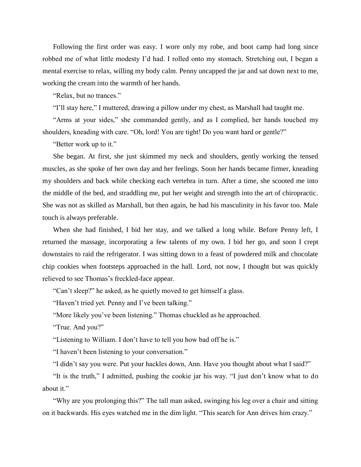Following the first order was easy. I wore only my robe, and boot camp had long since robbed me of what little modesty I'd had. I rolled onto my stomach. Stretching out, I began a mental exercise to relax, willing my body calm. Penny uncapped the jar and sat down next to me, working the cream into the warmth of her hands.

"Relax, but no trances."

"I'll stay here," I muttered, drawing a pillow under my chest, as Marshall had taught me.

"Arms at your sides," she commanded gently, and as I complied, her hands touched my shoulders, kneading with care. "Oh, lord! You are tight! Do you want hard or gentle?"

"Better work up to it."

She began. At first, she just skimmed my neck and shoulders, gently working the tensed muscles, as she spoke of her own day and her feelings. Soon her hands became firmer, kneading my shoulders and back while checking each vertebra in turn. After a time, she scooted me into the middle of the bed, and straddling me, put her weight and strength into the art of chiropractic. She was not as skilled as Marshall, but then again, he had his masculinity in his favor too. Male touch is always preferable.

When she had finished, I bid her stay, and we talked a long while. Before Penny left, I returned the massage, incorporating a few talents of my own. I bid her go, and soon I crept downstairs to raid the refrigerator. I was sitting down to a feast of powdered milk and chocolate chip cookies when footsteps approached in the hall. Lord, not now, I thought but was quickly relieved to see Thomas's freckled-face appear.

"Can't sleep?" he asked, as he quietly moved to get himself a glass.

"Haven't tried yet. Penny and I've been talking."

"More likely you've been listening." Thomas chuckled as he approached.

"True. And you?"

"Listening to William. I don't have to tell you how bad off he is."

"I haven't been listening to your conversation."

"I didn't say you were. Put your hackles down, Ann. Have you thought about what I said?"

"It is the truth," I admitted, pushing the cookie jar his way. "I just don't know what to do about it."

"Why are you prolonging this?" The tall man asked, swinging his leg over a chair and sitting on it backwards. His eyes watched me in the dim light. "This search for Ann drives him crazy."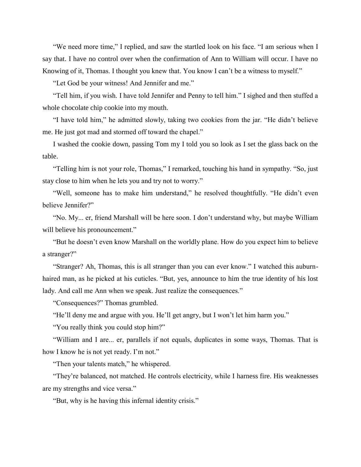"We need more time," I replied, and saw the startled look on his face. "I am serious when I say that. I have no control over when the confirmation of Ann to William will occur. I have no Knowing of it, Thomas. I thought you knew that. You know I can't be a witness to myself."

"Let God be your witness! And Jennifer and me."

"Tell him, if you wish. I have told Jennifer and Penny to tell him." I sighed and then stuffed a whole chocolate chip cookie into my mouth.

"I have told him," he admitted slowly, taking two cookies from the jar. "He didn't believe me. He just got mad and stormed off toward the chapel."

I washed the cookie down, passing Tom my I told you so look as I set the glass back on the table.

"Telling him is not your role, Thomas," I remarked, touching his hand in sympathy. "So, just stay close to him when he lets you and try not to worry."

"Well, someone has to make him understand," he resolved thoughtfully. "He didn't even believe Jennifer?"

"No. My... er, friend Marshall will be here soon. I don't understand why, but maybe William will believe his pronouncement."

"But he doesn't even know Marshall on the worldly plane. How do you expect him to believe a stranger?"

"Stranger? Ah, Thomas, this is all stranger than you can ever know." I watched this auburnhaired man, as he picked at his cuticles. "But, yes, announce to him the true identity of his lost lady. And call me Ann when we speak. Just realize the consequences."

"Consequences?" Thomas grumbled.

"He'll deny me and argue with you. He'll get angry, but I won't let him harm you."

"You really think you could stop him?"

"William and I are... er, parallels if not equals, duplicates in some ways, Thomas. That is how I know he is not yet ready. I'm not."

"Then your talents match," he whispered.

"They're balanced, not matched. He controls electricity, while I harness fire. His weaknesses are my strengths and vice versa."

"But, why is he having this infernal identity crisis."